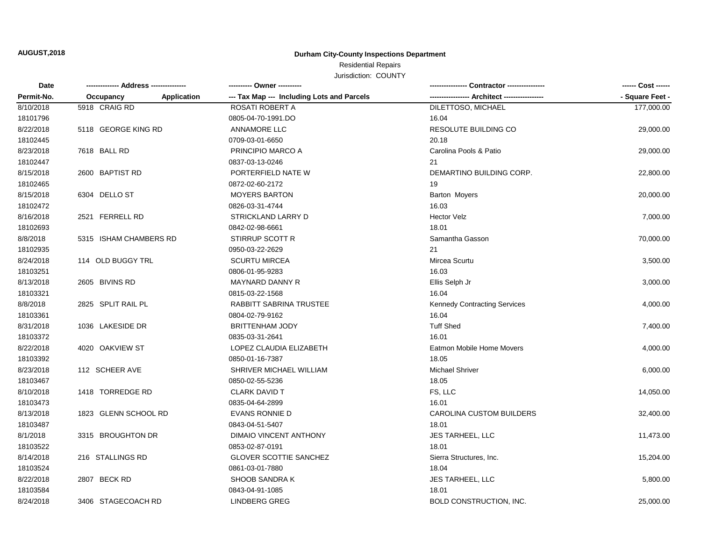# **AUGUST,2018 Durham City-County Inspections Department**

# Residential Repairs

Jurisdiction: COUNTY

| Date       |                        |             |                                            |                                     | ------ Cost ------ |
|------------|------------------------|-------------|--------------------------------------------|-------------------------------------|--------------------|
| Permit-No. | Occupancy              | Application | --- Tax Map --- Including Lots and Parcels |                                     | - Square Feet -    |
| 8/10/2018  | 5918 CRAIG RD          |             | ROSATI ROBERT A                            | DILETTOSO, MICHAEL                  | 177,000.00         |
| 18101796   |                        |             | 0805-04-70-1991.DO                         | 16.04                               |                    |
| 8/22/2018  | 5118 GEORGE KING RD    |             | <b>ANNAMORE LLC</b>                        | RESOLUTE BUILDING CO                | 29,000.00          |
| 18102445   |                        |             | 0709-03-01-6650                            | 20.18                               |                    |
| 8/23/2018  | 7618 BALL RD           |             | PRINCIPIO MARCO A                          | Carolina Pools & Patio              | 29,000.00          |
| 18102447   |                        |             | 0837-03-13-0246                            | 21                                  |                    |
| 8/15/2018  | 2600 BAPTIST RD        |             | PORTERFIELD NATE W                         | DEMARTINO BUILDING CORP.            | 22,800.00          |
| 18102465   |                        |             | 0872-02-60-2172                            | 19                                  |                    |
| 8/15/2018  | 6304 DELLO ST          |             | <b>MOYERS BARTON</b>                       | Barton Moyers                       | 20,000.00          |
| 18102472   |                        |             | 0826-03-31-4744                            | 16.03                               |                    |
| 8/16/2018  | 2521 FERRELL RD        |             | STRICKLAND LARRY D                         | <b>Hector Velz</b>                  | 7,000.00           |
| 18102693   |                        |             | 0842-02-98-6661                            | 18.01                               |                    |
| 8/8/2018   | 5315 ISHAM CHAMBERS RD |             | STIRRUP SCOTT R                            | Samantha Gasson                     | 70,000.00          |
| 18102935   |                        |             | 0950-03-22-2629                            | 21                                  |                    |
| 8/24/2018  | 114 OLD BUGGY TRL      |             | <b>SCURTU MIRCEA</b>                       | Mircea Scurtu                       | 3,500.00           |
| 18103251   |                        |             | 0806-01-95-9283                            | 16.03                               |                    |
| 8/13/2018  | 2605 BIVINS RD         |             | <b>MAYNARD DANNY R</b>                     | Ellis Selph Jr                      | 3,000.00           |
| 18103321   |                        |             | 0815-03-22-1568                            | 16.04                               |                    |
| 8/8/2018   | 2825 SPLIT RAIL PL     |             | RABBITT SABRINA TRUSTEE                    | <b>Kennedy Contracting Services</b> | 4,000.00           |
| 18103361   |                        |             | 0804-02-79-9162                            | 16.04                               |                    |
| 8/31/2018  | 1036 LAKESIDE DR       |             | <b>BRITTENHAM JODY</b>                     | <b>Tuff Shed</b>                    | 7,400.00           |
| 18103372   |                        |             | 0835-03-31-2641                            | 16.01                               |                    |
| 8/22/2018  | 4020 OAKVIEW ST        |             | LOPEZ CLAUDIA ELIZABETH                    | Eatmon Mobile Home Movers           | 4,000.00           |
| 18103392   |                        |             | 0850-01-16-7387                            | 18.05                               |                    |
| 8/23/2018  | 112 SCHEER AVE         |             | SHRIVER MICHAEL WILLIAM                    | Michael Shriver                     | 6,000.00           |
| 18103467   |                        |             | 0850-02-55-5236                            | 18.05                               |                    |
| 8/10/2018  | 1418 TORREDGE RD       |             | <b>CLARK DAVID T</b>                       | FS, LLC                             | 14,050.00          |
| 18103473   |                        |             | 0835-04-64-2899                            | 16.01                               |                    |
| 8/13/2018  | 1823 GLENN SCHOOL RD   |             | <b>EVANS RONNIE D</b>                      | CAROLINA CUSTOM BUILDERS            | 32,400.00          |
| 18103487   |                        |             | 0843-04-51-5407                            | 18.01                               |                    |
| 8/1/2018   | 3315 BROUGHTON DR      |             | DIMAIO VINCENT ANTHONY                     | JES TARHEEL, LLC                    | 11,473.00          |
| 18103522   |                        |             | 0853-02-87-0191                            | 18.01                               |                    |
| 8/14/2018  | 216 STALLINGS RD       |             | <b>GLOVER SCOTTIE SANCHEZ</b>              | Sierra Structures, Inc.             | 15,204.00          |
| 18103524   |                        |             | 0861-03-01-7880                            | 18.04                               |                    |
| 8/22/2018  | 2807 BECK RD           |             | <b>SHOOB SANDRA K</b>                      | <b>JES TARHEEL, LLC</b>             | 5,800.00           |
| 18103584   |                        |             | 0843-04-91-1085                            | 18.01                               |                    |
| 8/24/2018  | 3406 STAGECOACH RD     |             | <b>LINDBERG GREG</b>                       | <b>BOLD CONSTRUCTION, INC.</b>      | 25,000.00          |